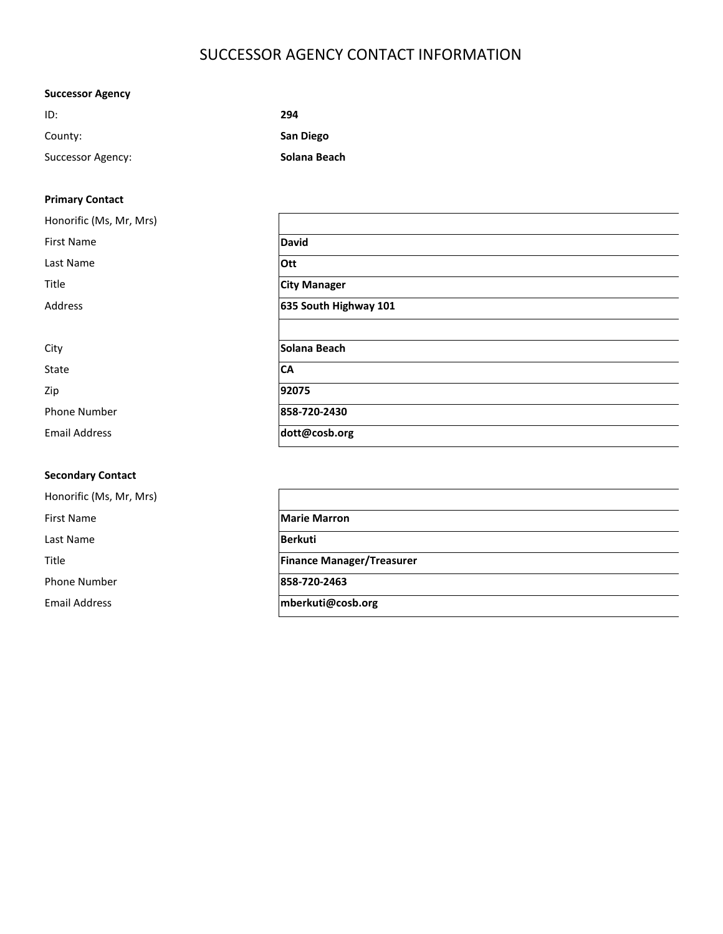# SUCCESSOR AGENCY CONTACT INFORMATION

### **Successor Agency**

| ID:               | 294              |
|-------------------|------------------|
| County:           | <b>San Diego</b> |
| Successor Agency: | Solana Beach     |

### **Primary Contact**

| Honorific (Ms, Mr, Mrs) |                       |
|-------------------------|-----------------------|
| <b>First Name</b>       | <b>David</b>          |
| Last Name               | <b>Ott</b>            |
| Title                   | <b>City Manager</b>   |
| Address                 | 635 South Highway 101 |
|                         |                       |
| City                    | Solana Beach          |
| State                   | <b>CA</b>             |
| Zip                     | 92075                 |
| <b>Phone Number</b>     | 858-720-2430          |
| <b>Email Address</b>    | dott@cosb.org         |

### **Secondary Contact**

| <b>Marie Marron</b>              |
|----------------------------------|
| Berkuti                          |
| <b>Finance Manager/Treasurer</b> |
| 858-720-2463                     |
| mberkuti@cosb.org                |
|                                  |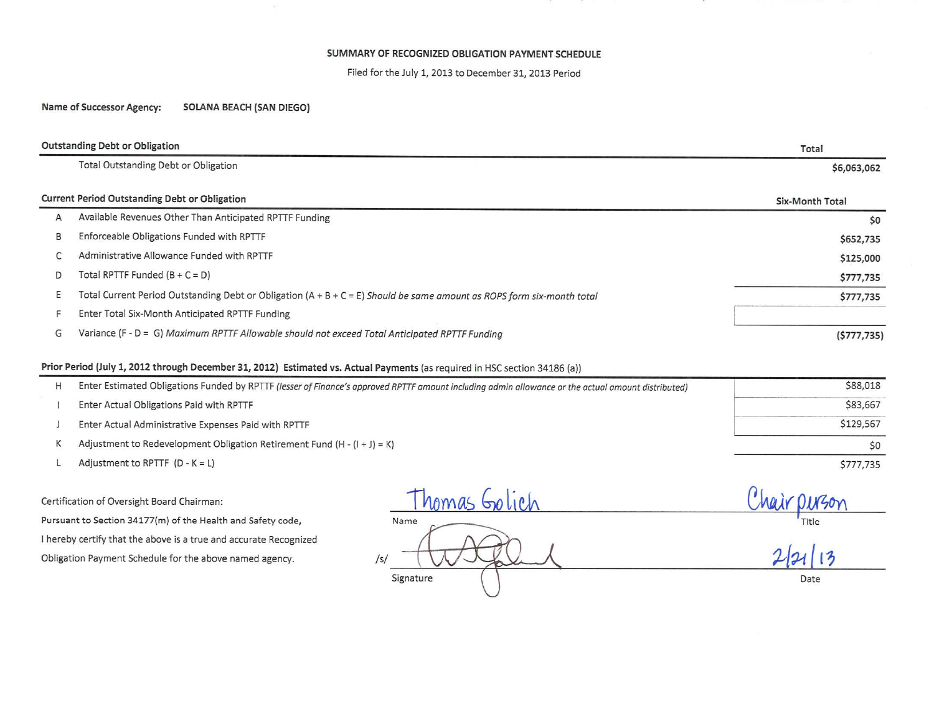#### SUMMARY OF RECOGNIZED OBLIGATION PAYMENT SCHEDULE

Filed for the July 1, 2013 to December 31, 2013 Period

#### Name of Successor Agency: **SOLANA BEACH (SAN DIEGO)**

|   | <b>Outstanding Debt or Obligation</b>                                                                                  | Total           |
|---|------------------------------------------------------------------------------------------------------------------------|-----------------|
|   | <b>Total Outstanding Debt or Obligation</b>                                                                            | \$6,063,062     |
|   | <b>Current Period Outstanding Debt or Obligation</b>                                                                   | Six-Month Total |
| A | Available Revenues Other Than Anticipated RPTTF Funding                                                                | \$0             |
| B | Enforceable Obligations Funded with RPTTF                                                                              | \$652,735       |
|   | Administrative Allowance Funded with RPTTF                                                                             | \$125,000       |
| D | Total RPTTF Funded $(B + C = D)$                                                                                       | \$777,735       |
|   | Total Current Period Outstanding Debt or Obligation (A + B + C = E) Should be same amount as ROPS form six-month total | \$777,735       |
|   | Enter Total Six-Month Anticipated RPTTF Funding                                                                        |                 |
| G | Variance (F - D = G) Maximum RPTTF Allowable should not exceed Total Anticipated RPTTF Funding                         | (5777, 735)     |

## Prior Period (July 1, 2012 through December 31, 2012) Estimated vs. Actual Payments (as required in HSC section 34186 (a))

| Enter Estimated Obligations Funded by RPTTF (lesser of Finance's approved RPTTF amount including admin allowance or the actual amount distributed) |           |  |  |
|----------------------------------------------------------------------------------------------------------------------------------------------------|-----------|--|--|
| Enter Actual Obligations Paid with RPTTF                                                                                                           | \$83,667  |  |  |
| Enter Actual Administrative Expenses Paid with RPTTF                                                                                               | \$129,567 |  |  |
| Adjustment to Redevelopment Obligation Retirement Fund $(H - (I + J) = K)$                                                                         | SO.       |  |  |
| Adjustment to RPTTF $(D - K = L)$                                                                                                                  | \$777,735 |  |  |

Certification of Oversight Board Chairman:

Pursuant to Section 34177(m) of the Health and Safety code, I hereby certify that the above is a true and accurate Recognized Obligation Payment Schedule for the above named agency.

| romas Golich                      | in 11RSon |
|-----------------------------------|-----------|
| Name                              | Title     |
| <b>BELLEVILLE AND REAL</b><br>/s/ |           |
| Signature                         | Date      |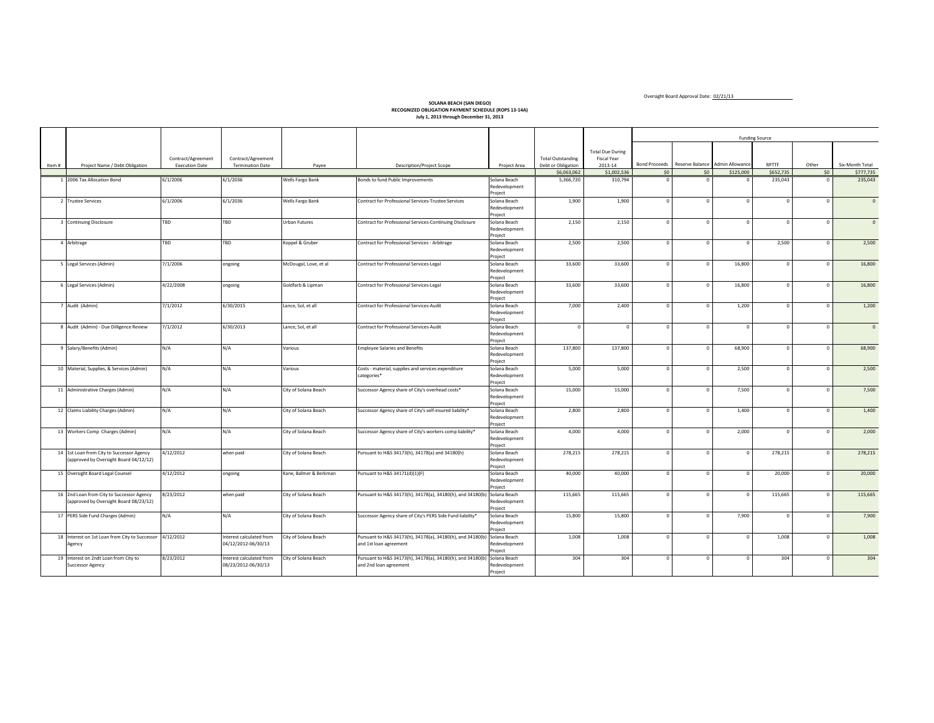Oversight Board Approval Date: 02/21/13

# **SOLANA BEACH (SAN DIEGO) RECOGNIZED OBLIGATION PAYMENT SCHEDULE (ROPS 13-14A) July 1, 2013 through December 31, 2013**

|       |                                                                                     |                                             |                                                 |                        |                                                                                                   |                                                     |                                                |                                                          |                      |              |                                 | <b>Funding Source</b> |              |                 |
|-------|-------------------------------------------------------------------------------------|---------------------------------------------|-------------------------------------------------|------------------------|---------------------------------------------------------------------------------------------------|-----------------------------------------------------|------------------------------------------------|----------------------------------------------------------|----------------------|--------------|---------------------------------|-----------------------|--------------|-----------------|
| Item# | Project Name / Debt Obligation                                                      | Contract/Agreement<br><b>Execution Date</b> | Contract/Agreement<br><b>Termination Date</b>   | Payee                  | Description/Project Scope                                                                         | Project Area                                        | <b>Total Outstanding</b><br>Debt or Obligation | <b>Total Due During</b><br><b>Fiscal Year</b><br>2013-14 | <b>Bond Proceeds</b> |              | Reserve Balance Admin Allowance | RPTTF                 | Other        | Six-Month Total |
|       |                                                                                     |                                             |                                                 |                        |                                                                                                   |                                                     | \$6,063,062                                    | \$1,002,536                                              | \$0                  | \$0          | \$125,000                       | \$652,735             | \$0          | \$777,735       |
|       | 1 2006 Tax Allocation Bond                                                          | 6/1/2006                                    | 6/1/2036                                        | Wells Fargo Bank       | Bonds to fund Public Improvements                                                                 | Solana Beach<br>Redevelopment                       | 5,366,720                                      | 310,794                                                  | $\Omega$             | $\mathbf{0}$ | $\circ$                         | 235,043               | $\Omega$     | 235,043         |
|       |                                                                                     | 6/1/2006                                    | 6/1/2036                                        |                        | Contract for Professional Services-Trustee Services                                               | Project<br>Solana Beach                             | 1,900                                          | 1,900                                                    | $\mathbf{0}$         | $\mathbf{0}$ | $\mathbf 0$                     |                       | $\Omega$     | $\mathbf 0$     |
|       | 2 Trustee Services                                                                  |                                             |                                                 | Wells Fargo Bank       |                                                                                                   | Redevelopment<br>Project                            |                                                |                                                          |                      |              |                                 |                       |              |                 |
|       | 3 Continuing Disclosure                                                             | TBD                                         | TBD                                             | Urban Futures          | Contract for Professional Services-Continuing Disclosure                                          | Solana Beach<br>Redevelopment                       | 2,150                                          | 2,150                                                    | $\mathbf{0}$         | $\mathbf{0}$ | $\mathbf{0}$                    | $\Omega$              | $\mathbf{0}$ | $\mathbf 0$     |
|       | 4 Arbitrage                                                                         | TBD                                         | TBD                                             | Koppel & Gruber        | Contract for Professional Services - Arbitrage                                                    | Project<br>Solana Beach<br>Redevelopment            | 2,500                                          | 2,500                                                    | $\mathbf{0}$         | $\mathbf{0}$ | $\mathbf{0}$                    | 2,500                 | $^{\circ}$   | 2,500           |
|       | 5 Legal Services (Admin)                                                            | 7/1/2006                                    | ongoing                                         | McDougal, Love, et al  | Contract for Professional Services-Legal                                                          | Project<br>Solana Beach<br>Redevelopment            | 33,600                                         | 33,600                                                   | $\mathbf{0}$         | $^{\circ}$   | 16,800                          | $\Omega$              | $\Omega$     | 16,800          |
|       | 6 Legal Services (Admin)                                                            | 4/22/2008                                   | ongoing                                         | Goldfarb & Lipman      | Contract for Professional Services-Legal                                                          | Project<br>Solana Beach<br>Redevelopment<br>Project | 33,600                                         | 33,600                                                   | $\mathbf{0}$         | $\mathbf{0}$ | 16,800                          | $\overline{0}$        | $\Omega$     | 16,800          |
|       | 7 Audit (Admin)                                                                     | 7/1/2012                                    | 6/30/2015                                       | Lance, Sol, et all     | Contract for Professional Services-Audit                                                          | Solana Beach<br>Redevelopment<br>Project            | 7,000                                          | 2,400                                                    | $\mathbf{0}$         | $\circ$      | 1,200                           | $\Omega$              | $^{\circ}$   | 1,200           |
|       | 8 Audit (Admin) - Due Dilligence Review                                             | 7/1/2012                                    | 6/30/2013                                       | Lance, Sol, et all     | Contract for Professional Services-Audit                                                          | Solana Beach<br>Redevelopment<br>Project            | $\mathbf{0}$                                   | $\Omega$                                                 | $\Omega$             | $^{\circ}$   | $\Omega$                        | $\Omega$              | $^{\circ}$   | $\mathbf{0}$    |
|       | 9 Salary/Benefits (Admin)                                                           | N/A                                         | N/A                                             | Various                | <b>Employee Salaries and Benefits</b>                                                             | Solana Beach<br>Redevelopment<br>Project            | 137,800                                        | 137,800                                                  | $\mathbf{0}$         | $\circ$      | 68,900                          | $\Omega$              | $\mathbf{0}$ | 68,900          |
|       | 10   Material, Supplies, & Services (Admin)                                         | N/A                                         | N/A                                             | Various                | Costs - material, supplies and services expenditure<br>categories*                                | Solana Beach<br>Redevelopment<br>Project            | 5,000                                          | 5,000                                                    | $\mathbf{0}$         | $\mathbf{0}$ | 2,500                           | $\Omega$              | $^{\circ}$   | 2,500           |
|       | 11 Administrative Charges (Admin)                                                   | N/A                                         | N/A                                             | City of Solana Beach   | Successor Agency share of City's overhead costs*                                                  | Solana Beach<br>Redevelopment<br>Project            | 15,000                                         | 15,000                                                   | $\mathbf{0}$         | $\circ$      | 7,500                           | $\Omega$              | $^{\circ}$   | 7,500           |
|       | 12 Claims Liability Charges (Admin)                                                 | N/A                                         | N/A                                             | City of Solana Beach   | Successor Agency share of City's self-insured liability*                                          | Solana Beach<br>Redevelopment<br>Project            | 2,800                                          | 2,800                                                    | $\mathbf{0}$         | $\mathbf{0}$ | 1,400                           | $\mathbf 0$           | $\mathbf{0}$ | 1,400           |
|       | 13 Workers Comp Charges (Admin)                                                     | N/A                                         | N/A                                             | City of Solana Beach   | Successor Agency share of City's workers comp liability*                                          | Solana Beach<br>Redevelopment<br>Project            | 4,000                                          | 4,000                                                    | $\mathbf{0}$         | $\mathbf{0}$ | 2,000                           | $\Omega$              | $\Omega$     | 2,000           |
|       | 14 1st Loan from City to Successor Agency<br>(approved by Oversight Board 04/12/12) | 4/12/2012                                   | when paid                                       | City of Solana Beach   | Pursuant to H&S 34173(h), 34178(a) and 34180(h)                                                   | Solana Beach<br>Redevelopment<br>Project            | 278,215                                        | 278,215                                                  | $\mathbf{0}$         | $^{\circ}$   | $\mathbf 0$                     | 278,215               | $^{\circ}$   | 278,215         |
|       | 15 Oversight Board Legal Counsel                                                    | 4/12/2012                                   | ongoing                                         | Kane, Balmer & Berkman | Pursuant to H&S 34171(d)(1)(F)                                                                    | Solana Beach<br>Redevelopment<br>Project            | 40,000                                         | 40,000                                                   | $\mathbf{0}$         | $\circ$      | $\mathbf{0}$                    | 20,000                | $\mathbf{0}$ | 20,000          |
|       | 16 2nd Loan from City to Successor Agency<br>(approved by Oversight Board 08/23/12) | 8/23/2012                                   | when paid                                       | City of Solana Beach   | Pursuant to H&S 34173(h), 34178(a), 34180(h), and 34180(b) Solana Beach                           | Redevelopment<br>Project                            | 115,665                                        | 115,665                                                  | $\mathbf{0}$         | $\mathbf{0}$ | $\mathbf{0}$                    | 115,665               | $\mathbf{0}$ | 115,665         |
|       | 17 PERS Side Fund Charges (Admin)                                                   | N/A                                         | N/A                                             | City of Solana Beach   | Successor Agency share of City's PERS Side Fund liability*                                        | Solana Beach<br>Redevelopment<br>Project            | 15,800                                         | 15,800                                                   | $\mathbf{0}$         | $\circ$      | 7,900                           | $\Omega$              | $^{\circ}$   | 7,900           |
|       | 18 Interest on 1st Loan from City to Successor<br>Agency                            | 4/12/2012                                   | Interest calculated from<br>04/12/2012-06/30/13 | City of Solana Beach   | Pursuant to H&S 34173(h), 34178(a), 34180(h), and 34180(b) Solana Beach<br>and 1st loan agreement | Redevelopment<br>roject                             | 1,008                                          | 1,008                                                    | $\Omega$             | $^{\circ}$   | $\overline{0}$                  | 1,008                 | $\mathbf{0}$ | 1,008           |
|       | 19 Interest on 2ndt Loan from City to<br><b>Successor Agency</b>                    | 8/23/2012                                   | Interest calculated from<br>08/23/2012-06/30/13 | City of Solana Beach   | Pursuant to H&S 34173(h), 34178(a), 34180(h), and 34180(b) Solana Beach<br>and 2nd loan agreement | Redevelopment<br>Project                            | 304                                            | 304                                                      | $\Omega$             | $^{\circ}$   | $\Omega$                        | 304                   | $\Omega$     | 304             |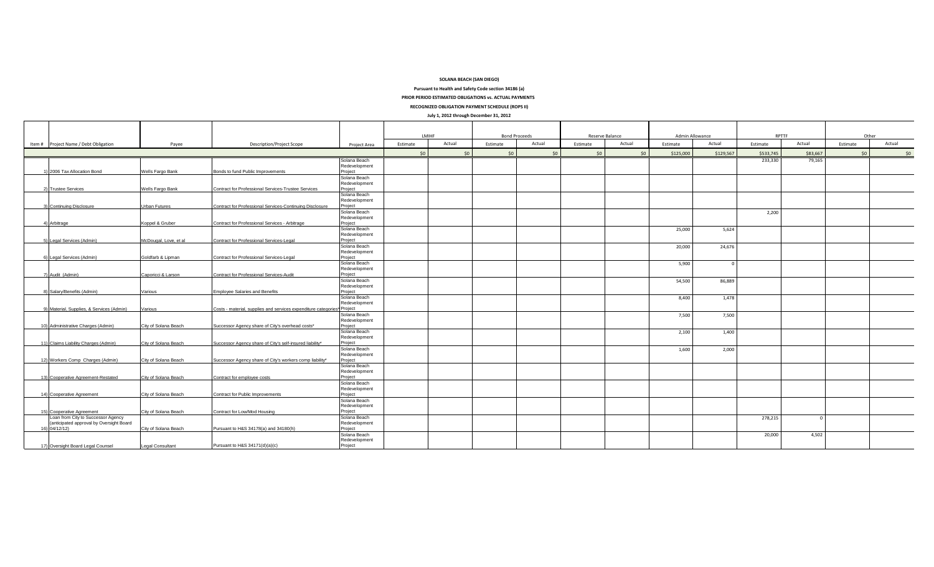#### **SOLANA BEACH (SAN DIEGO)**

**Pursuant to Health and Safety Code section 34186 (a)**

**PRIOR PERIOD ESTIMATED OBLIGATIONS vs. ACTUAL PAYMENTS** 

**RECOGNIZED OBLIGATION PAYMENT SCHEDULE (ROPS II)**

#### **July 1, 2012 through December 31, 2012**

|                                                          |                         |                                                                         |                               |          | LMIHF  |          | <b>Bond Proceeds</b> |          | Reserve Balance | Admin Allowance |           | RPTTF     |          | Other    |        |
|----------------------------------------------------------|-------------------------|-------------------------------------------------------------------------|-------------------------------|----------|--------|----------|----------------------|----------|-----------------|-----------------|-----------|-----------|----------|----------|--------|
| Item # Project Name / Debt Obligation                    | Payee                   | <b>Description/Project Scope</b>                                        | Project Area                  | Estimate | Actual | Estimate | Actual               | Estimate | Actual          | Estimate        | Actual    | Estimate  | Actual   | Estimate | Actual |
|                                                          |                         |                                                                         |                               | \$0      | 50     | \$0      | 50                   | 50       | $\epsilon$      | \$125,000       | \$129,567 | \$533.745 | \$83,667 | 50       | \$0    |
|                                                          |                         |                                                                         | Solana Beach                  |          |        |          |                      |          |                 |                 |           | 233,330   | 79,165   |          |        |
| 2006 Tax Allocation Bond                                 | <b>Nells Fargo Bank</b> | Bonds to fund Public Improvements                                       | Redevelopment<br>Project      |          |        |          |                      |          |                 |                 |           |           |          |          |        |
|                                                          |                         |                                                                         | Solana Beach                  |          |        |          |                      |          |                 |                 |           |           |          |          |        |
|                                                          |                         |                                                                         | Redevelopment                 |          |        |          |                      |          |                 |                 |           |           |          |          |        |
| 2) Trustee Services                                      | <b>Nells Fargo Bank</b> | Contract for Professional Services-Trustee Services                     | Project                       |          |        |          |                      |          |                 |                 |           |           |          |          |        |
|                                                          |                         |                                                                         | Solana Beach                  |          |        |          |                      |          |                 |                 |           |           |          |          |        |
| 3) Continuing Disclosure                                 | Jrban Futures           | Contract for Professional Services-Continuing Disclosure                | Redevelopment<br>Project      |          |        |          |                      |          |                 |                 |           |           |          |          |        |
|                                                          |                         |                                                                         | Solana Beach                  |          |        |          |                      |          |                 |                 |           | 2,200     |          |          |        |
|                                                          |                         |                                                                         | Redevelopment                 |          |        |          |                      |          |                 |                 |           |           |          |          |        |
| 4) Arbitrage                                             | Koppel & Gruber         | Contract for Professional Services - Arbitrage                          | Project                       |          |        |          |                      |          |                 |                 |           |           |          |          |        |
|                                                          |                         |                                                                         | Solana Beach                  |          |        |          |                      |          |                 | 25,000          | 5,624     |           |          |          |        |
| 5) Legal Services (Admin)                                | McDougal, Love, et al   | Contract for Professional Services-Legal                                | Redevelopment<br>Project      |          |        |          |                      |          |                 |                 |           |           |          |          |        |
|                                                          |                         |                                                                         | Solana Beach                  |          |        |          |                      |          |                 | 20,000          | 24,676    |           |          |          |        |
|                                                          |                         |                                                                         | Redevelopment                 |          |        |          |                      |          |                 |                 |           |           |          |          |        |
| 6) Legal Services (Admin)                                | Goldfarb & Lipman       | Contract for Professional Services-Legal                                | Project                       |          |        |          |                      |          |                 |                 |           |           |          |          |        |
|                                                          |                         |                                                                         | Solana Beach<br>Redevelopment |          |        |          |                      |          |                 | 5,900           | $\Omega$  |           |          |          |        |
| 7) Audit (Admin)                                         | Caporicci & Larson      | Contract for Professional Services-Audit                                | Project                       |          |        |          |                      |          |                 |                 |           |           |          |          |        |
|                                                          |                         |                                                                         | Solana Beach                  |          |        |          |                      |          |                 | 54,500          | 86,889    |           |          |          |        |
|                                                          |                         |                                                                         | Redevelopment                 |          |        |          |                      |          |                 |                 |           |           |          |          |        |
| 8) Salary/Benefits (Admin)                               | Various                 | <b>Employee Salaries and Benefits</b>                                   | Proiect                       |          |        |          |                      |          |                 |                 |           |           |          |          |        |
|                                                          |                         |                                                                         | Solana Beach<br>Redevelopment |          |        |          |                      |          |                 | 8,400           | 1,478     |           |          |          |        |
| 9) Material, Supplies, & Services (Admin)                | Various                 | Costs - material, supplies and services expenditure categories* Project |                               |          |        |          |                      |          |                 |                 |           |           |          |          |        |
|                                                          |                         |                                                                         | Solana Beach                  |          |        |          |                      |          |                 | 7,500           | 7,500     |           |          |          |        |
|                                                          |                         |                                                                         | Redevelopment                 |          |        |          |                      |          |                 |                 |           |           |          |          |        |
| 10) Administrative Charges (Admin)                       | City of Solana Beach    | Successor Agency share of City's overhead costs*                        | Proiect                       |          |        |          |                      |          |                 |                 |           |           |          |          |        |
|                                                          |                         |                                                                         | Solana Beach<br>Redevelopment |          |        |          |                      |          |                 | 2,100           | 1,400     |           |          |          |        |
| 11) Claims Liability Charges (Admin)                     | City of Solana Beach    | Successor Agency share of City's self-insured liability*                | Proiect                       |          |        |          |                      |          |                 |                 |           |           |          |          |        |
|                                                          |                         |                                                                         | Solana Beach                  |          |        |          |                      |          |                 | 1,600           | 2,000     |           |          |          |        |
|                                                          |                         |                                                                         | Redevelopment                 |          |        |          |                      |          |                 |                 |           |           |          |          |        |
| 12) Workers Comp Charges (Admin)                         | City of Solana Beach    | Successor Agency share of City's workers comp liability*                | Proiect<br>Solana Beach       |          |        |          |                      |          |                 |                 |           |           |          |          |        |
|                                                          |                         |                                                                         | Redevelopment                 |          |        |          |                      |          |                 |                 |           |           |          |          |        |
| 13) Cooperative Agreement-Restated                       | City of Solana Beach    | Contract for employee costs                                             | Project                       |          |        |          |                      |          |                 |                 |           |           |          |          |        |
|                                                          |                         |                                                                         | Solana Beach                  |          |        |          |                      |          |                 |                 |           |           |          |          |        |
|                                                          |                         |                                                                         | Redevelopment                 |          |        |          |                      |          |                 |                 |           |           |          |          |        |
| 14) Cooperative Agreement                                | City of Solana Beach    | Contract for Public Improvements                                        | Proiect<br>Solana Beach       |          |        |          |                      |          |                 |                 |           |           |          |          |        |
|                                                          |                         |                                                                         | Redevelopment                 |          |        |          |                      |          |                 |                 |           |           |          |          |        |
| 15) Cooperative Agreement                                | City of Solana Beach    | Contract for Low/Mod Housing                                            | Proiect                       |          |        |          |                      |          |                 |                 |           |           |          |          |        |
| Loan from City to Successor Agency                       |                         |                                                                         | Solana Beach                  |          |        |          |                      |          |                 |                 |           | 278,215   |          |          |        |
| (anticipated approval by Oversight Board<br>(6) 04/12/12 |                         |                                                                         | Redevelopment                 |          |        |          |                      |          |                 |                 |           |           |          |          |        |
|                                                          | City of Solana Beach    | Pursuant to H&S 34178(a) and 34180(h)                                   | Project<br>Solana Beach       |          |        |          |                      |          |                 |                 |           | 20,000    | 4,502    |          |        |
|                                                          |                         |                                                                         | Redevelopment                 |          |        |          |                      |          |                 |                 |           |           |          |          |        |
| 17) Oversight Board Legal Counsel                        | Legal Consultant        | Pursuant to H&S 34171(d)(a)(c)                                          | Project                       |          |        |          |                      |          |                 |                 |           |           |          |          |        |